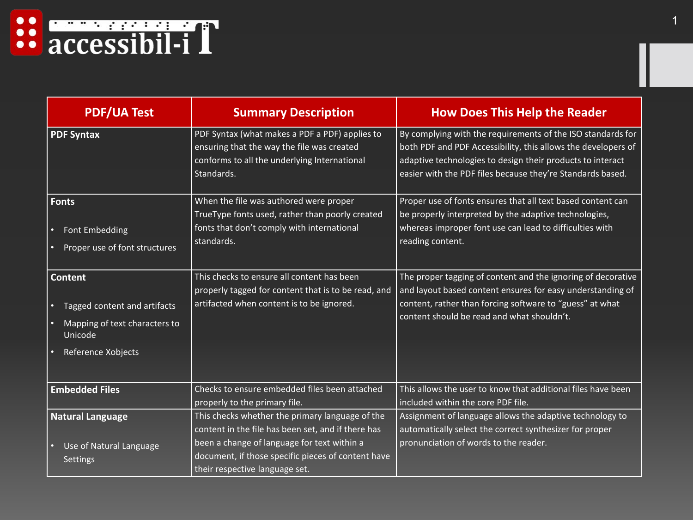

| <b>PDF/UA Test</b>                                                                                                            | <b>Summary Description</b>                                                                                                                                                                                                                   | <b>How Does This Help the Reader</b>                                                                                                                                                                                                                     |
|-------------------------------------------------------------------------------------------------------------------------------|----------------------------------------------------------------------------------------------------------------------------------------------------------------------------------------------------------------------------------------------|----------------------------------------------------------------------------------------------------------------------------------------------------------------------------------------------------------------------------------------------------------|
| <b>PDF Syntax</b>                                                                                                             | PDF Syntax (what makes a PDF a PDF) applies to<br>ensuring that the way the file was created<br>conforms to all the underlying International<br>Standards.                                                                                   | By complying with the requirements of the ISO standards for<br>both PDF and PDF Accessibility, this allows the developers of<br>adaptive technologies to design their products to interact<br>easier with the PDF files because they're Standards based. |
| <b>Fonts</b><br><b>Font Embedding</b><br>$\bullet$<br>Proper use of font structures<br>$\bullet$                              | When the file was authored were proper<br>TrueType fonts used, rather than poorly created<br>fonts that don't comply with international<br>standards.                                                                                        | Proper use of fonts ensures that all text based content can<br>be properly interpreted by the adaptive technologies,<br>whereas improper font use can lead to difficulties with<br>reading content.                                                      |
| <b>Content</b><br>Tagged content and artifacts<br>$\bullet$<br>Mapping of text characters to<br>Unicode<br>Reference Xobjects | This checks to ensure all content has been<br>properly tagged for content that is to be read, and<br>artifacted when content is to be ignored.                                                                                               | The proper tagging of content and the ignoring of decorative<br>and layout based content ensures for easy understanding of<br>content, rather than forcing software to "guess" at what<br>content should be read and what shouldn't.                     |
| <b>Embedded Files</b>                                                                                                         | Checks to ensure embedded files been attached<br>properly to the primary file.                                                                                                                                                               | This allows the user to know that additional files have been<br>included within the core PDF file.                                                                                                                                                       |
| <b>Natural Language</b><br>Use of Natural Language<br>$\bullet$<br><b>Settings</b>                                            | This checks whether the primary language of the<br>content in the file has been set, and if there has<br>been a change of language for text within a<br>document, if those specific pieces of content have<br>their respective language set. | Assignment of language allows the adaptive technology to<br>automatically select the correct synthesizer for proper<br>pronunciation of words to the reader.                                                                                             |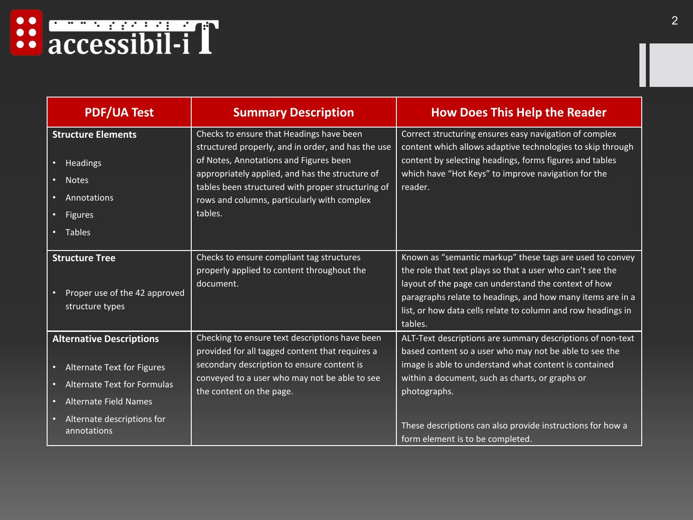

| <b>PDF/UA Test</b>                                                                                                      | <b>Summary Description</b>                                                                                                                                                                                                                                                                                 | <b>How Does This Help the Reader</b>                                                                                                                                                                                                                                                                                   |
|-------------------------------------------------------------------------------------------------------------------------|------------------------------------------------------------------------------------------------------------------------------------------------------------------------------------------------------------------------------------------------------------------------------------------------------------|------------------------------------------------------------------------------------------------------------------------------------------------------------------------------------------------------------------------------------------------------------------------------------------------------------------------|
| <b>Structure Elements</b><br>Headings<br>$\bullet$<br><b>Notes</b><br>Annotations<br>Figures<br>• Tables                | Checks to ensure that Headings have been<br>structured properly, and in order, and has the use<br>of Notes, Annotations and Figures been<br>appropriately applied, and has the structure of<br>tables been structured with proper structuring of<br>rows and columns, particularly with complex<br>tables. | Correct structuring ensures easy navigation of complex<br>content which allows adaptive technologies to skip through<br>content by selecting headings, forms figures and tables<br>which have "Hot Keys" to improve navigation for the<br>reader.                                                                      |
| <b>Structure Tree</b><br>Proper use of the 42 approved<br>structure types                                               | Checks to ensure compliant tag structures<br>properly applied to content throughout the<br>document.                                                                                                                                                                                                       | Known as "semantic markup" these tags are used to convey<br>the role that text plays so that a user who can't see the<br>layout of the page can understand the context of how<br>paragraphs relate to headings, and how many items are in a<br>list, or how data cells relate to column and row headings in<br>tables. |
| <b>Alternative Descriptions</b><br><b>Alternate Text for Figures</b><br>$\bullet$<br><b>Alternate Text for Formulas</b> | Checking to ensure text descriptions have been<br>provided for all tagged content that requires a<br>secondary description to ensure content is<br>conveyed to a user who may not be able to see<br>the content on the page.                                                                               | ALT-Text descriptions are summary descriptions of non-text<br>based content so a user who may not be able to see the<br>image is able to understand what content is contained<br>within a document, such as charts, or graphs or                                                                                       |
| <b>Alternate Field Names</b><br>Alternate descriptions for<br>annotations                                               |                                                                                                                                                                                                                                                                                                            | photographs.<br>These descriptions can also provide instructions for how a<br>form element is to be completed.                                                                                                                                                                                                         |